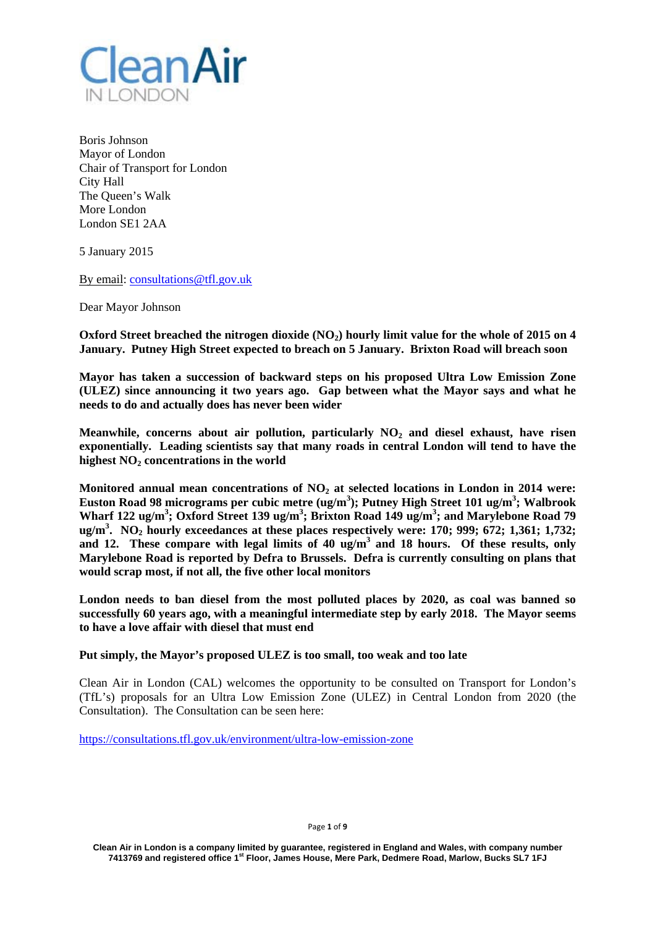

Boris Johnson Mayor of London Chair of Transport for London City Hall The Queen's Walk More London London SE1 2AA

5 January 2015

By email: consultations@tfl.gov.uk

Dear Mayor Johnson

Oxford Street breached the nitrogen dioxide (NO<sub>2</sub>) hourly limit value for the whole of 2015 on 4 **January. Putney High Street expected to breach on 5 January. Brixton Road will breach soon** 

**Mayor has taken a succession of backward steps on his proposed Ultra Low Emission Zone (ULEZ) since announcing it two years ago. Gap between what the Mayor says and what he needs to do and actually does has never been wider** 

Meanwhile, concerns about air pollution, particularly NO<sub>2</sub> and diesel exhaust, have risen **exponentially. Leading scientists say that many roads in central London will tend to have the**  highest  $NO<sub>2</sub>$  concentrations in the world

Monitored annual mean concentrations of NO<sub>2</sub> at selected locations in London in 2014 were: **Euston Road 98 micrograms per cubic metre (ug/m<sup>3</sup> ); Putney High Street 101 ug/m3 ; Walbrook**  Wharf 122 ug/m<sup>3</sup>; Oxford Street 139 ug/m<sup>3</sup>; Brixton Road 149 ug/m<sup>3</sup>; and Marylebone Road 79 ug/m<sup>3</sup>. NO<sub>2</sub> hourly exceedances at these places respectively were: 170; 999; 672; 1,361; 1,732; and 12. These compare with legal limits of 40 ug/m<sup>3</sup> and 18 hours. Of these results, only **Marylebone Road is reported by Defra to Brussels. Defra is currently consulting on plans that would scrap most, if not all, the five other local monitors** 

**London needs to ban diesel from the most polluted places by 2020, as coal was banned so successfully 60 years ago, with a meaningful intermediate step by early 2018. The Mayor seems to have a love affair with diesel that must end** 

**Put simply, the Mayor's proposed ULEZ is too small, too weak and too late** 

Clean Air in London (CAL) welcomes the opportunity to be consulted on Transport for London's (TfL's) proposals for an Ultra Low Emission Zone (ULEZ) in Central London from 2020 (the Consultation). The Consultation can be seen here:

https://consultations.tfl.gov.uk/environment/ultra-low-emission-zone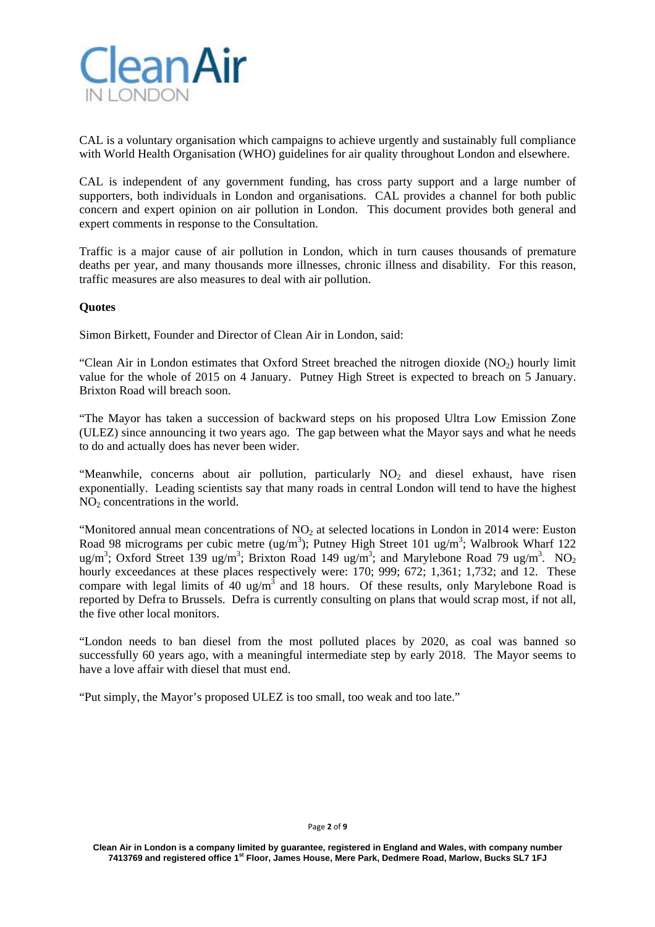

CAL is a voluntary organisation which campaigns to achieve urgently and sustainably full compliance with World Health Organisation (WHO) guidelines for air quality throughout London and elsewhere.

CAL is independent of any government funding, has cross party support and a large number of supporters, both individuals in London and organisations. CAL provides a channel for both public concern and expert opinion on air pollution in London. This document provides both general and expert comments in response to the Consultation.

Traffic is a major cause of air pollution in London, which in turn causes thousands of premature deaths per year, and many thousands more illnesses, chronic illness and disability. For this reason, traffic measures are also measures to deal with air pollution.

# **Quotes**

Simon Birkett, Founder and Director of Clean Air in London, said:

"Clean Air in London estimates that Oxford Street breached the nitrogen dioxide  $(NO<sub>2</sub>)$  hourly limit value for the whole of 2015 on 4 January. Putney High Street is expected to breach on 5 January. Brixton Road will breach soon.

"The Mayor has taken a succession of backward steps on his proposed Ultra Low Emission Zone (ULEZ) since announcing it two years ago. The gap between what the Mayor says and what he needs to do and actually does has never been wider.

"Meanwhile, concerns about air pollution, particularly  $NO<sub>2</sub>$  and diesel exhaust, have risen exponentially. Leading scientists say that many roads in central London will tend to have the highest  $NO<sub>2</sub>$  concentrations in the world.

"Monitored annual mean concentrations of  $NO<sub>2</sub>$  at selected locations in London in 2014 were: Euston Road 98 micrograms per cubic metre (ug/m<sup>3</sup>); Putney High Street 101 ug/m<sup>3</sup>; Walbrook Wharf 122 ug/m<sup>3</sup>; Oxford Street 139 ug/m<sup>3</sup>; Brixton Road 149 ug/m<sup>3</sup>; and Marylebone Road 79 ug/m<sup>3</sup>. NO<sub>2</sub> hourly exceedances at these places respectively were: 170; 999; 672; 1,361; 1,732; and 12. These compare with legal limits of 40 ug/m<sup>3</sup> and 18 hours. Of these results, only Marylebone Road is reported by Defra to Brussels. Defra is currently consulting on plans that would scrap most, if not all, the five other local monitors.

"London needs to ban diesel from the most polluted places by 2020, as coal was banned so successfully 60 years ago, with a meaningful intermediate step by early 2018. The Mayor seems to have a love affair with diesel that must end.

"Put simply, the Mayor's proposed ULEZ is too small, too weak and too late."

#### Page **2** of **9**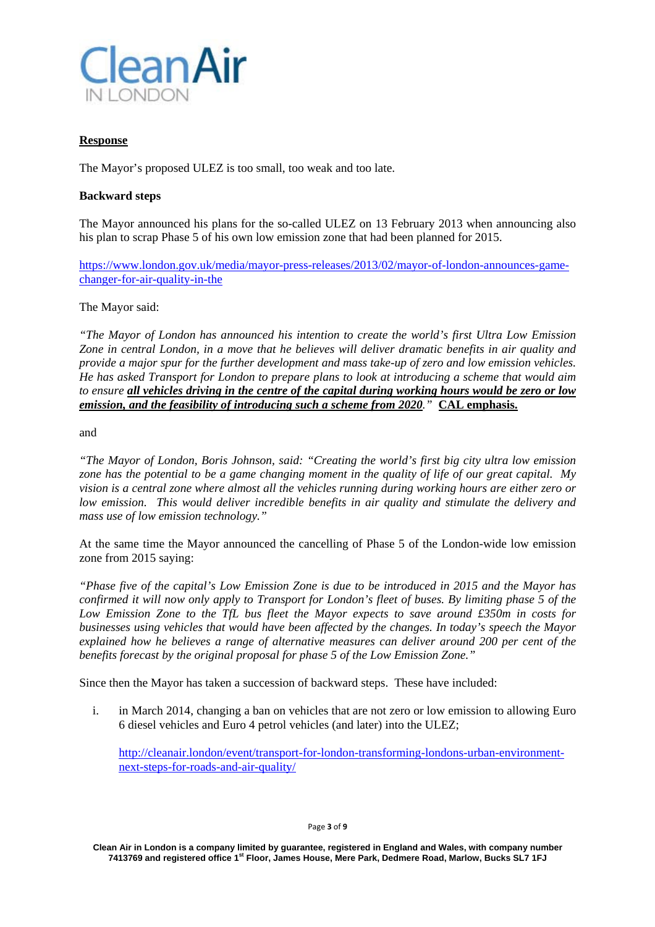

# **Response**

The Mayor's proposed ULEZ is too small, too weak and too late.

# **Backward steps**

The Mayor announced his plans for the so-called ULEZ on 13 February 2013 when announcing also his plan to scrap Phase 5 of his own low emission zone that had been planned for 2015.

https://www.london.gov.uk/media/mayor-press-releases/2013/02/mayor-of-london-announces-gamechanger-for-air-quality-in-the

The Mayor said:

*"The Mayor of London has announced his intention to create the world's first Ultra Low Emission Zone in central London, in a move that he believes will deliver dramatic benefits in air quality and provide a major spur for the further development and mass take-up of zero and low emission vehicles. He has asked Transport for London to prepare plans to look at introducing a scheme that would aim to ensure all vehicles driving in the centre of the capital during working hours would be zero or low emission, and the feasibility of introducing such a scheme from 2020."* **CAL emphasis.**

and

*"The Mayor of London, Boris Johnson, said: "Creating the world's first big city ultra low emission zone has the potential to be a game changing moment in the quality of life of our great capital. My vision is a central zone where almost all the vehicles running during working hours are either zero or low emission. This would deliver incredible benefits in air quality and stimulate the delivery and mass use of low emission technology."* 

At the same time the Mayor announced the cancelling of Phase 5 of the London-wide low emission zone from 2015 saying:

*"Phase five of the capital's Low Emission Zone is due to be introduced in 2015 and the Mayor has confirmed it will now only apply to Transport for London's fleet of buses. By limiting phase 5 of the Low Emission Zone to the TfL bus fleet the Mayor expects to save around £350m in costs for businesses using vehicles that would have been affected by the changes. In today's speech the Mayor explained how he believes a range of alternative measures can deliver around 200 per cent of the benefits forecast by the original proposal for phase 5 of the Low Emission Zone."* 

Since then the Mayor has taken a succession of backward steps. These have included:

i. in March 2014, changing a ban on vehicles that are not zero or low emission to allowing Euro 6 diesel vehicles and Euro 4 petrol vehicles (and later) into the ULEZ;

http://cleanair.london/event/transport-for-london-transforming-londons-urban-environmentnext-steps-for-roads-and-air-quality/

**Clean Air in London is a company limited by guarantee, registered in England and Wales, with company number 7413769 and registered office 1st Floor, James House, Mere Park, Dedmere Road, Marlow, Bucks SL7 1FJ**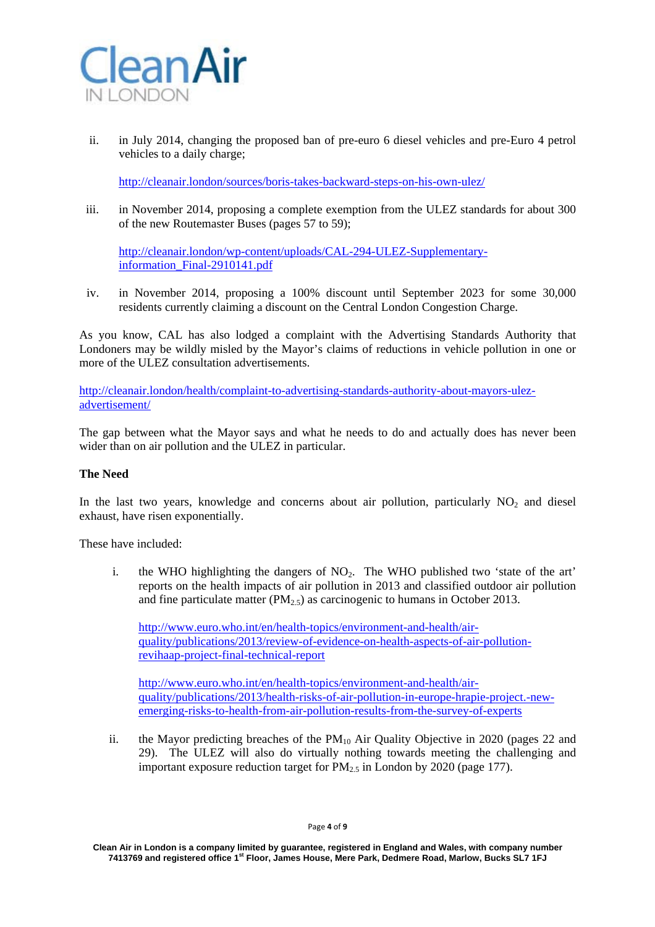

ii. in July 2014, changing the proposed ban of pre-euro 6 diesel vehicles and pre-Euro 4 petrol vehicles to a daily charge;

http://cleanair.london/sources/boris-takes-backward-steps-on-his-own-ulez/

iii. in November 2014, proposing a complete exemption from the ULEZ standards for about 300 of the new Routemaster Buses (pages 57 to 59);

http://cleanair.london/wp-content/uploads/CAL-294-ULEZ-Supplementaryinformation\_Final-2910141.pdf

iv. in November 2014, proposing a 100% discount until September 2023 for some 30,000 residents currently claiming a discount on the Central London Congestion Charge.

As you know, CAL has also lodged a complaint with the Advertising Standards Authority that Londoners may be wildly misled by the Mayor's claims of reductions in vehicle pollution in one or more of the ULEZ consultation advertisements.

http://cleanair.london/health/complaint-to-advertising-standards-authority-about-mayors-ulezadvertisement/

The gap between what the Mayor says and what he needs to do and actually does has never been wider than on air pollution and the ULEZ in particular.

# **The Need**

In the last two years, knowledge and concerns about air pollution, particularly  $NO<sub>2</sub>$  and diesel exhaust, have risen exponentially.

These have included:

i. the WHO highlighting the dangers of  $NO<sub>2</sub>$ . The WHO published two 'state of the art' reports on the health impacts of air pollution in 2013 and classified outdoor air pollution and fine particulate matter ( $PM<sub>2.5</sub>$ ) as carcinogenic to humans in October 2013.

http://www.euro.who.int/en/health-topics/environment-and-health/airquality/publications/2013/review-of-evidence-on-health-aspects-of-air-pollutionrevihaap-project-final-technical-report

http://www.euro.who.int/en/health-topics/environment-and-health/airquality/publications/2013/health-risks-of-air-pollution-in-europe-hrapie-project.-newemerging-risks-to-health-from-air-pollution-results-from-the-survey-of-experts

ii. the Mayor predicting breaches of the  $PM_{10}$  Air Quality Objective in 2020 (pages 22 and 29). The ULEZ will also do virtually nothing towards meeting the challenging and important exposure reduction target for  $PM_{2.5}$  in London by 2020 (page 177).

**Clean Air in London is a company limited by guarantee, registered in England and Wales, with company number 7413769 and registered office 1st Floor, James House, Mere Park, Dedmere Road, Marlow, Bucks SL7 1FJ**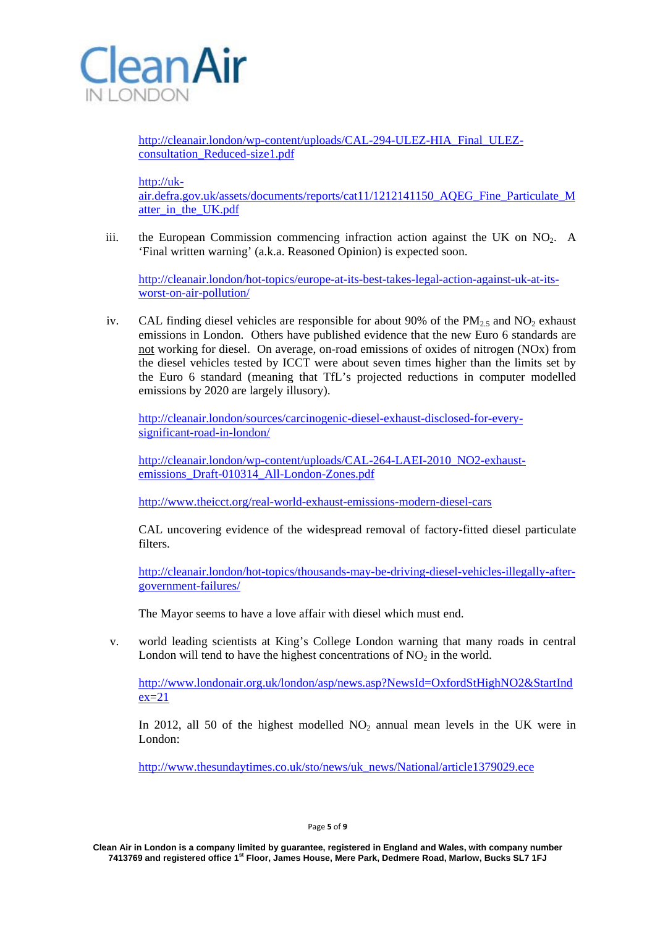

http://cleanair.london/wp-content/uploads/CAL-294-ULEZ-HIA\_Final\_ULEZconsultation\_Reduced-size1.pdf

http://uk-

air.defra.gov.uk/assets/documents/reports/cat11/1212141150\_AQEG\_Fine\_Particulate\_M atter in the UK.pdf

iii. the European Commission commencing infraction action against the UK on  $NO<sub>2</sub>$ . A 'Final written warning' (a.k.a. Reasoned Opinion) is expected soon.

http://cleanair.london/hot-topics/europe-at-its-best-takes-legal-action-against-uk-at-itsworst-on-air-pollution/

iv. CAL finding diesel vehicles are responsible for about 90% of the  $PM_{2.5}$  and NO<sub>2</sub> exhaust emissions in London. Others have published evidence that the new Euro 6 standards are not working for diesel. On average, on-road emissions of oxides of nitrogen (NOx) from the diesel vehicles tested by ICCT were about seven times higher than the limits set by the Euro 6 standard (meaning that TfL's projected reductions in computer modelled emissions by 2020 are largely illusory).

http://cleanair.london/sources/carcinogenic-diesel-exhaust-disclosed-for-everysignificant-road-in-london/

http://cleanair.london/wp-content/uploads/CAL-264-LAEI-2010\_NO2-exhaustemissions\_Draft-010314\_All-London-Zones.pdf

http://www.theicct.org/real-world-exhaust-emissions-modern-diesel-cars

CAL uncovering evidence of the widespread removal of factory-fitted diesel particulate filters.

http://cleanair.london/hot-topics/thousands-may-be-driving-diesel-vehicles-illegally-aftergovernment-failures/

The Mayor seems to have a love affair with diesel which must end.

v. world leading scientists at King's College London warning that many roads in central London will tend to have the highest concentrations of  $NO<sub>2</sub>$  in the world.

http://www.londonair.org.uk/london/asp/news.asp?NewsId=OxfordStHighNO2&StartInd  $ex=21$ 

In 2012, all 50 of the highest modelled  $NO<sub>2</sub>$  annual mean levels in the UK were in London:

http://www.thesundaytimes.co.uk/sto/news/uk\_news/National/article1379029.ece

Page **5** of **9**

**Clean Air in London is a company limited by guarantee, registered in England and Wales, with company number 7413769 and registered office 1st Floor, James House, Mere Park, Dedmere Road, Marlow, Bucks SL7 1FJ**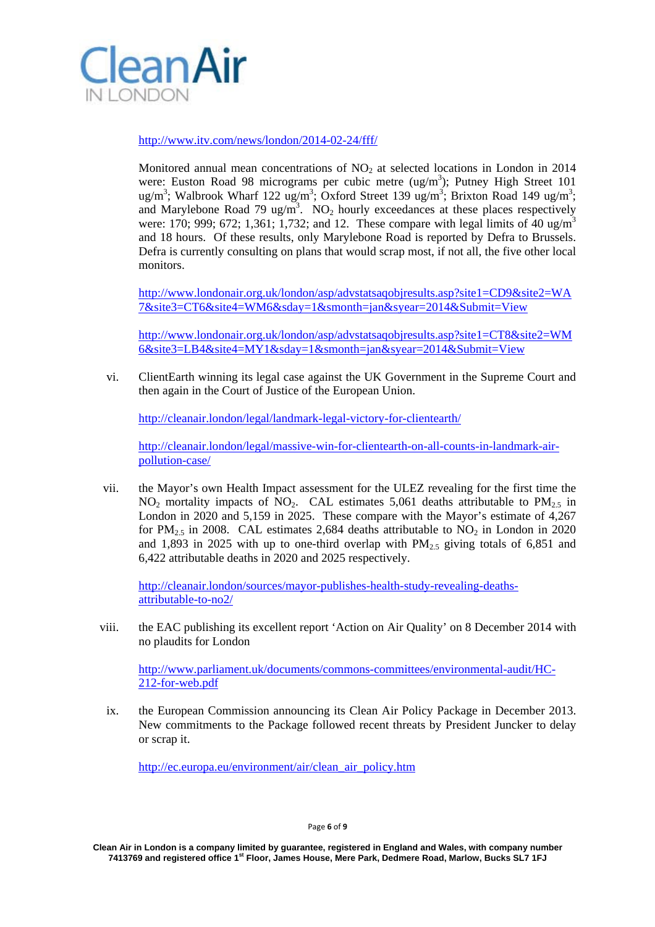

http://www.itv.com/news/london/2014-02-24/fff/

Monitored annual mean concentrations of  $NO<sub>2</sub>$  at selected locations in London in 2014 were: Euston Road 98 micrograms per cubic metre  $\left(\frac{ug}{m^3}\right)$ ; Putney High Street 101 ug/m<sup>3</sup>; Walbrook Wharf 122 ug/m<sup>3</sup>; Oxford Street 139 ug/m<sup>3</sup>; Brixton Road 149 ug/m<sup>3</sup>; and Marylebone Road 79 ug/m<sup>3</sup>. NO<sub>2</sub> hourly exceedances at these places respectively were: 170; 999; 672; 1,361; 1,732; and 12. These compare with legal limits of 40 ug/m<sup>3</sup> and 18 hours. Of these results, only Marylebone Road is reported by Defra to Brussels. Defra is currently consulting on plans that would scrap most, if not all, the five other local monitors.

http://www.londonair.org.uk/london/asp/advstatsaqobjresults.asp?site1=CD9&site2=WA 7&site3=CT6&site4=WM6&sday=1&smonth=jan&syear=2014&Submit=View

http://www.londonair.org.uk/london/asp/advstatsaqobjresults.asp?site1=CT8&site2=WM 6&site3=LB4&site4=MY1&sday=1&smonth=jan&syear=2014&Submit=View

vi. ClientEarth winning its legal case against the UK Government in the Supreme Court and then again in the Court of Justice of the European Union.

http://cleanair.london/legal/landmark-legal-victory-for-clientearth/

http://cleanair.london/legal/massive-win-for-clientearth-on-all-counts-in-landmark-airpollution-case/

vii. the Mayor's own Health Impact assessment for the ULEZ revealing for the first time the  $NO<sub>2</sub>$  mortality impacts of  $NO<sub>2</sub>$ . CAL estimates 5,061 deaths attributable to  $PM<sub>2.5</sub>$  in London in 2020 and 5,159 in 2025. These compare with the Mayor's estimate of 4,267 for PM<sub>2.5</sub> in 2008. CAL estimates 2,684 deaths attributable to  $NO<sub>2</sub>$  in London in 2020 and 1,893 in 2025 with up to one-third overlap with  $PM_{2.5}$  giving totals of 6,851 and 6,422 attributable deaths in 2020 and 2025 respectively.

http://cleanair.london/sources/mayor-publishes-health-study-revealing-deathsattributable-to-no2/

viii. the EAC publishing its excellent report 'Action on Air Quality' on 8 December 2014 with no plaudits for London

http://www.parliament.uk/documents/commons-committees/environmental-audit/HC-212-for-web.pdf

ix. the European Commission announcing its Clean Air Policy Package in December 2013. New commitments to the Package followed recent threats by President Juncker to delay or scrap it.

http://ec.europa.eu/environment/air/clean\_air\_policy.htm

Page **6** of **9**

**Clean Air in London is a company limited by guarantee, registered in England and Wales, with company number 7413769 and registered office 1st Floor, James House, Mere Park, Dedmere Road, Marlow, Bucks SL7 1FJ**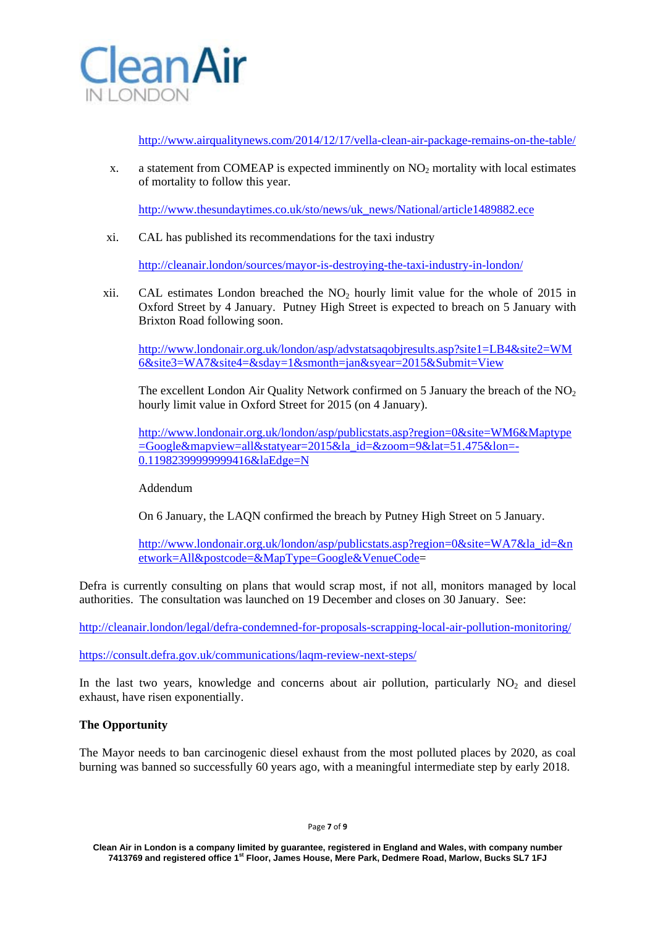

http://www.airqualitynews.com/2014/12/17/vella-clean-air-package-remains-on-the-table/

x. a statement from COMEAP is expected imminently on  $NO<sub>2</sub>$  mortality with local estimates of mortality to follow this year.

http://www.thesundaytimes.co.uk/sto/news/uk\_news/National/article1489882.ece

xi. CAL has published its recommendations for the taxi industry

http://cleanair.london/sources/mayor-is-destroying-the-taxi-industry-in-london/

xii. CAL estimates London breached the  $NO<sub>2</sub>$  hourly limit value for the whole of 2015 in Oxford Street by 4 January. Putney High Street is expected to breach on 5 January with Brixton Road following soon.

http://www.londonair.org.uk/london/asp/advstatsaqobjresults.asp?site1=LB4&site2=WM 6&site3=WA7&site4=&sday=1&smonth=jan&syear=2015&Submit=View

The excellent London Air Quality Network confirmed on 5 January the breach of the  $NO<sub>2</sub>$ hourly limit value in Oxford Street for 2015 (on 4 January).

http://www.londonair.org.uk/london/asp/publicstats.asp?region=0&site=WM6&Maptype =Google&mapview=all&statyear=2015&la\_id=&zoom=9&lat=51.475&lon=- 0.11982399999999416&laEdge=N

# Addendum

On 6 January, the LAQN confirmed the breach by Putney High Street on 5 January.

http://www.londonair.org.uk/london/asp/publicstats.asp?region=0&site=WA7&la\_id=&n etwork=All&postcode=&MapType=Google&VenueCode=

Defra is currently consulting on plans that would scrap most, if not all, monitors managed by local authorities. The consultation was launched on 19 December and closes on 30 January. See:

http://cleanair.london/legal/defra-condemned-for-proposals-scrapping-local-air-pollution-monitoring/

https://consult.defra.gov.uk/communications/laqm-review-next-steps/

In the last two years, knowledge and concerns about air pollution, particularly  $NO<sub>2</sub>$  and diesel exhaust, have risen exponentially.

# **The Opportunity**

The Mayor needs to ban carcinogenic diesel exhaust from the most polluted places by 2020, as coal burning was banned so successfully 60 years ago, with a meaningful intermediate step by early 2018.

Page **7** of **9**

**Clean Air in London is a company limited by guarantee, registered in England and Wales, with company number 7413769 and registered office 1st Floor, James House, Mere Park, Dedmere Road, Marlow, Bucks SL7 1FJ**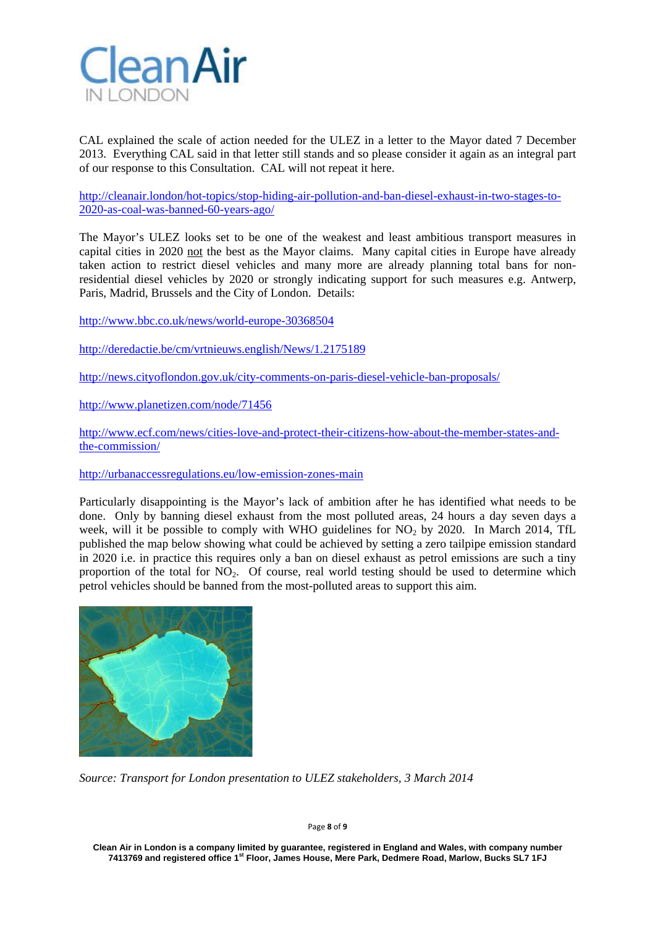

CAL explained the scale of action needed for the ULEZ in a letter to the Mayor dated 7 December 2013. Everything CAL said in that letter still stands and so please consider it again as an integral part of our response to this Consultation. CAL will not repeat it here.

http://cleanair.london/hot-topics/stop-hiding-air-pollution-and-ban-diesel-exhaust-in-two-stages-to-2020-as-coal-was-banned-60-years-ago/

The Mayor's ULEZ looks set to be one of the weakest and least ambitious transport measures in capital cities in 2020 not the best as the Mayor claims. Many capital cities in Europe have already taken action to restrict diesel vehicles and many more are already planning total bans for nonresidential diesel vehicles by 2020 or strongly indicating support for such measures e.g. Antwerp, Paris, Madrid, Brussels and the City of London. Details:

http://www.bbc.co.uk/news/world-europe-30368504

http://deredactie.be/cm/vrtnieuws.english/News/1.2175189

http://news.cityoflondon.gov.uk/city-comments-on-paris-diesel-vehicle-ban-proposals/

http://www.planetizen.com/node/71456

http://www.ecf.com/news/cities-love-and-protect-their-citizens-how-about-the-member-states-andthe-commission/

http://urbanaccessregulations.eu/low-emission-zones-main

Particularly disappointing is the Mayor's lack of ambition after he has identified what needs to be done. Only by banning diesel exhaust from the most polluted areas, 24 hours a day seven days a week, will it be possible to comply with WHO guidelines for  $NO<sub>2</sub>$  by 2020. In March 2014, TfL published the map below showing what could be achieved by setting a zero tailpipe emission standard in 2020 i.e. in practice this requires only a ban on diesel exhaust as petrol emissions are such a tiny proportion of the total for  $NO<sub>2</sub>$ . Of course, real world testing should be used to determine which petrol vehicles should be banned from the most-polluted areas to support this aim.



*Source: Transport for London presentation to ULEZ stakeholders, 3 March 2014* 

Page **8** of **9**

**Clean Air in London is a company limited by guarantee, registered in England and Wales, with company number 7413769 and registered office 1st Floor, James House, Mere Park, Dedmere Road, Marlow, Bucks SL7 1FJ**